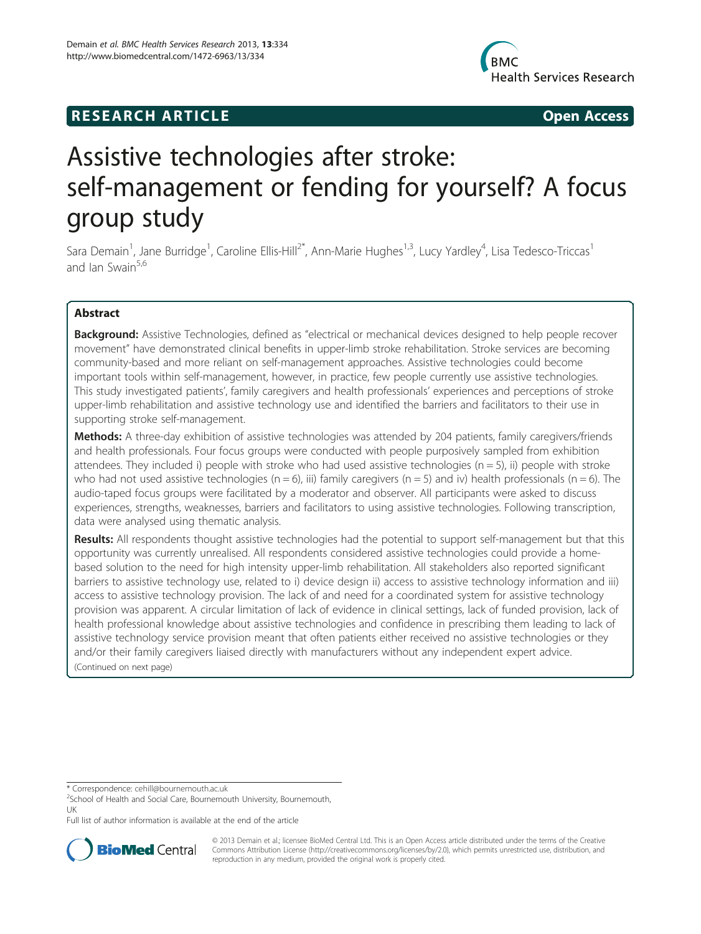



# Assistive technologies after stroke: self-management or fending for yourself? A focus group study

Sara Demain<sup>1</sup>, Jane Burridge<sup>1</sup>, Caroline Ellis-Hill<sup>2\*</sup>, Ann-Marie Hughes<sup>1,3</sup>, Lucy Yardley<sup>4</sup>, Lisa Tedesco-Triccas<sup>1</sup> and Jan Swain<sup>5,6</sup>

## Abstract

Background: Assistive Technologies, defined as "electrical or mechanical devices designed to help people recover movement" have demonstrated clinical benefits in upper-limb stroke rehabilitation. Stroke services are becoming community-based and more reliant on self-management approaches. Assistive technologies could become important tools within self-management, however, in practice, few people currently use assistive technologies. This study investigated patients', family caregivers and health professionals' experiences and perceptions of stroke upper-limb rehabilitation and assistive technology use and identified the barriers and facilitators to their use in supporting stroke self-management.

Methods: A three-day exhibition of assistive technologies was attended by 204 patients, family caregivers/friends and health professionals. Four focus groups were conducted with people purposively sampled from exhibition attendees. They included i) people with stroke who had used assistive technologies ( $n = 5$ ), ii) people with stroke who had not used assistive technologies ( $n = 6$ ), iii) family caregivers ( $n = 5$ ) and iv) health professionals ( $n = 6$ ). The audio-taped focus groups were facilitated by a moderator and observer. All participants were asked to discuss experiences, strengths, weaknesses, barriers and facilitators to using assistive technologies. Following transcription, data were analysed using thematic analysis.

Results: All respondents thought assistive technologies had the potential to support self-management but that this opportunity was currently unrealised. All respondents considered assistive technologies could provide a homebased solution to the need for high intensity upper-limb rehabilitation. All stakeholders also reported significant barriers to assistive technology use, related to i) device design ii) access to assistive technology information and iii) access to assistive technology provision. The lack of and need for a coordinated system for assistive technology provision was apparent. A circular limitation of lack of evidence in clinical settings, lack of funded provision, lack of health professional knowledge about assistive technologies and confidence in prescribing them leading to lack of assistive technology service provision meant that often patients either received no assistive technologies or they and/or their family caregivers liaised directly with manufacturers without any independent expert advice. (Continued on next page)

Full list of author information is available at the end of the article



© 2013 Demain et al.; licensee BioMed Central Ltd. This is an Open Access article distributed under the terms of the Creative Commons Attribution License [\(http://creativecommons.org/licenses/by/2.0\)](http://creativecommons.org/licenses/by/2.0), which permits unrestricted use, distribution, and reproduction in any medium, provided the original work is properly cited.

<sup>\*</sup> Correspondence: [cehill@bournemouth.ac.uk](mailto:cehill@bournemouth.ac.uk) <sup>2</sup>

<sup>&</sup>lt;sup>2</sup>School of Health and Social Care, Bournemouth University, Bournemouth, UK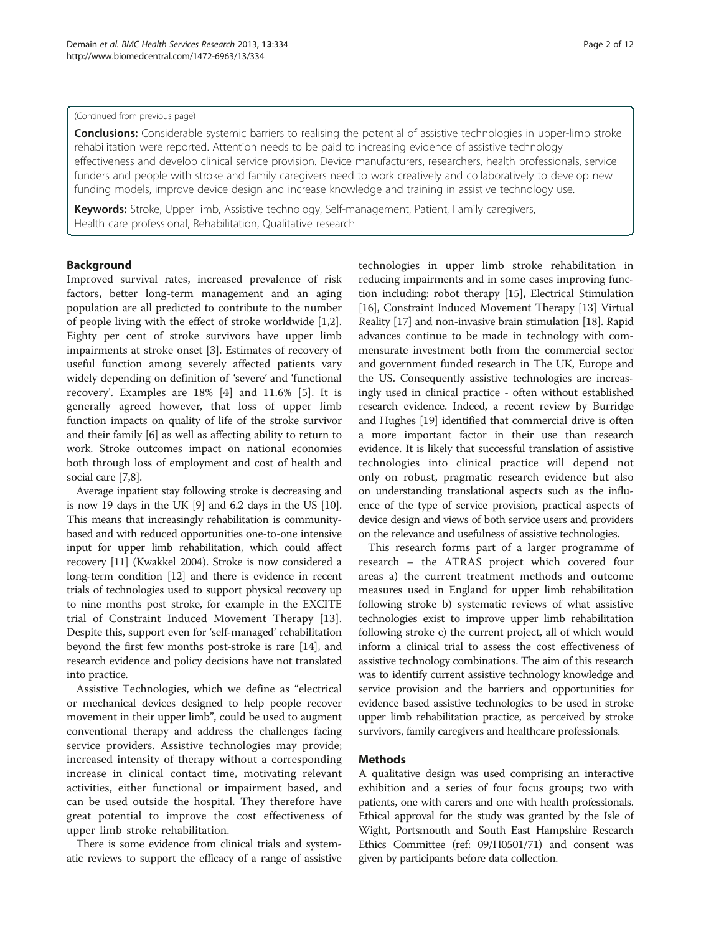#### (Continued from previous page)

Conclusions: Considerable systemic barriers to realising the potential of assistive technologies in upper-limb stroke rehabilitation were reported. Attention needs to be paid to increasing evidence of assistive technology effectiveness and develop clinical service provision. Device manufacturers, researchers, health professionals, service funders and people with stroke and family caregivers need to work creatively and collaboratively to develop new funding models, improve device design and increase knowledge and training in assistive technology use.

Keywords: Stroke, Upper limb, Assistive technology, Self-management, Patient, Family caregivers, Health care professional, Rehabilitation, Qualitative research

## **Background**

Improved survival rates, increased prevalence of risk factors, better long-term management and an aging population are all predicted to contribute to the number of people living with the effect of stroke worldwide [\[1,2](#page-11-0)]. Eighty per cent of stroke survivors have upper limb impairments at stroke onset [\[3](#page-11-0)]. Estimates of recovery of useful function among severely affected patients vary widely depending on definition of 'severe' and 'functional recovery'. Examples are 18% [[4\]](#page-11-0) and 11.6% [[5\]](#page-11-0). It is generally agreed however, that loss of upper limb function impacts on quality of life of the stroke survivor and their family [[6](#page-11-0)] as well as affecting ability to return to work. Stroke outcomes impact on national economies both through loss of employment and cost of health and social care [[7,8\]](#page-11-0).

Average inpatient stay following stroke is decreasing and is now 19 days in the UK [\[9](#page-11-0)] and 6.2 days in the US [\[10](#page-11-0)]. This means that increasingly rehabilitation is communitybased and with reduced opportunities one-to-one intensive input for upper limb rehabilitation, which could affect recovery [[11](#page-11-0)] (Kwakkel 2004). Stroke is now considered a long-term condition [\[12\]](#page-11-0) and there is evidence in recent trials of technologies used to support physical recovery up to nine months post stroke, for example in the EXCITE trial of Constraint Induced Movement Therapy [[13](#page-11-0)]. Despite this, support even for 'self-managed' rehabilitation beyond the first few months post-stroke is rare [\[14\]](#page-11-0), and research evidence and policy decisions have not translated into practice.

Assistive Technologies, which we define as "electrical or mechanical devices designed to help people recover movement in their upper limb", could be used to augment conventional therapy and address the challenges facing service providers. Assistive technologies may provide; increased intensity of therapy without a corresponding increase in clinical contact time, motivating relevant activities, either functional or impairment based, and can be used outside the hospital. They therefore have great potential to improve the cost effectiveness of upper limb stroke rehabilitation.

There is some evidence from clinical trials and systematic reviews to support the efficacy of a range of assistive

technologies in upper limb stroke rehabilitation in reducing impairments and in some cases improving function including: robot therapy [[15\]](#page-11-0), Electrical Stimulation [[16](#page-11-0)], Constraint Induced Movement Therapy [[13](#page-11-0)] Virtual Reality [\[17](#page-11-0)] and non-invasive brain stimulation [\[18\]](#page-11-0). Rapid advances continue to be made in technology with commensurate investment both from the commercial sector and government funded research in The UK, Europe and the US. Consequently assistive technologies are increasingly used in clinical practice - often without established research evidence. Indeed, a recent review by Burridge and Hughes [[19](#page-11-0)] identified that commercial drive is often a more important factor in their use than research evidence. It is likely that successful translation of assistive technologies into clinical practice will depend not only on robust, pragmatic research evidence but also on understanding translational aspects such as the influence of the type of service provision, practical aspects of device design and views of both service users and providers on the relevance and usefulness of assistive technologies.

This research forms part of a larger programme of research – the ATRAS project which covered four areas a) the current treatment methods and outcome measures used in England for upper limb rehabilitation following stroke b) systematic reviews of what assistive technologies exist to improve upper limb rehabilitation following stroke c) the current project, all of which would inform a clinical trial to assess the cost effectiveness of assistive technology combinations. The aim of this research was to identify current assistive technology knowledge and service provision and the barriers and opportunities for evidence based assistive technologies to be used in stroke upper limb rehabilitation practice, as perceived by stroke survivors, family caregivers and healthcare professionals.

## Methods

A qualitative design was used comprising an interactive exhibition and a series of four focus groups; two with patients, one with carers and one with health professionals. Ethical approval for the study was granted by the Isle of Wight, Portsmouth and South East Hampshire Research Ethics Committee (ref: 09/H0501/71) and consent was given by participants before data collection.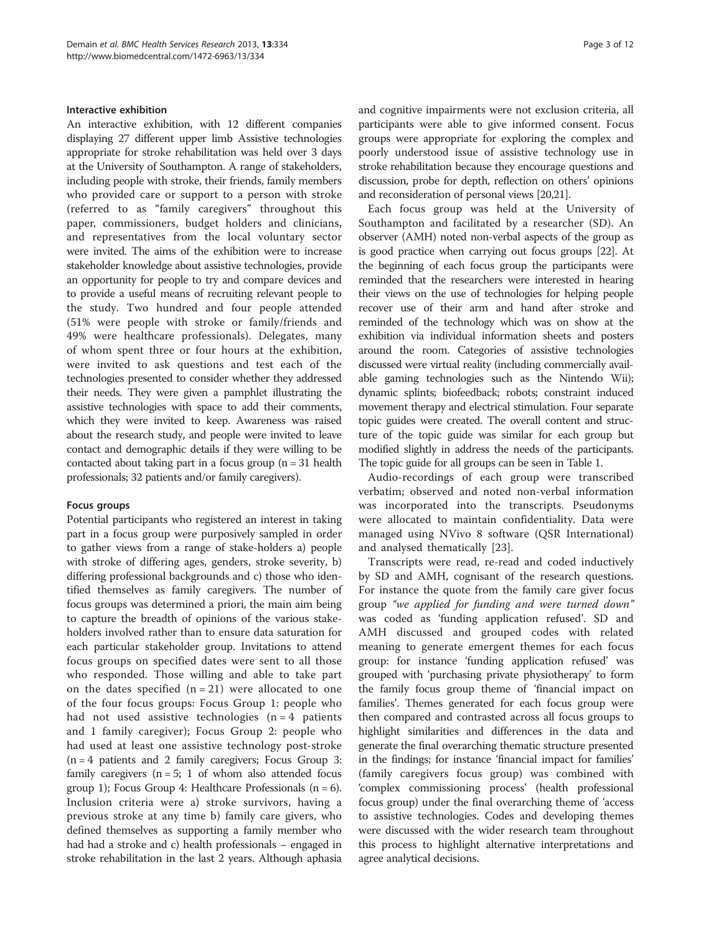#### Interactive exhibition

An interactive exhibition, with 12 different companies displaying 27 different upper limb Assistive technologies appropriate for stroke rehabilitation was held over 3 days at the University of Southampton. A range of stakeholders, including people with stroke, their friends, family members who provided care or support to a person with stroke (referred to as "family caregivers" throughout this paper, commissioners, budget holders and clinicians, and representatives from the local voluntary sector were invited. The aims of the exhibition were to increase stakeholder knowledge about assistive technologies, provide an opportunity for people to try and compare devices and to provide a useful means of recruiting relevant people to the study. Two hundred and four people attended (51% were people with stroke or family/friends and 49% were healthcare professionals). Delegates, many of whom spent three or four hours at the exhibition, were invited to ask questions and test each of the technologies presented to consider whether they addressed their needs. They were given a pamphlet illustrating the assistive technologies with space to add their comments, which they were invited to keep. Awareness was raised about the research study, and people were invited to leave contact and demographic details if they were willing to be contacted about taking part in a focus group  $(n = 31$  health professionals; 32 patients and/or family caregivers).

#### Focus groups

Potential participants who registered an interest in taking part in a focus group were purposively sampled in order to gather views from a range of stake-holders a) people with stroke of differing ages, genders, stroke severity, b) differing professional backgrounds and c) those who identified themselves as family caregivers. The number of focus groups was determined a priori, the main aim being to capture the breadth of opinions of the various stakeholders involved rather than to ensure data saturation for each particular stakeholder group. Invitations to attend focus groups on specified dates were sent to all those who responded. Those willing and able to take part on the dates specified  $(n = 21)$  were allocated to one of the four focus groups: Focus Group 1: people who had not used assistive technologies  $(n = 4$  patients and 1 family caregiver); Focus Group 2: people who had used at least one assistive technology post-stroke  $(n = 4$  patients and 2 family caregivers; Focus Group 3: family caregivers ( $n = 5$ ; 1 of whom also attended focus group 1); Focus Group 4: Healthcare Professionals  $(n = 6)$ . Inclusion criteria were a) stroke survivors, having a previous stroke at any time b) family care givers, who defined themselves as supporting a family member who had had a stroke and c) health professionals – engaged in stroke rehabilitation in the last 2 years. Although aphasia and cognitive impairments were not exclusion criteria, all participants were able to give informed consent. Focus groups were appropriate for exploring the complex and poorly understood issue of assistive technology use in stroke rehabilitation because they encourage questions and discussion, probe for depth, reflection on others' opinions and reconsideration of personal views [\[20,21](#page-11-0)].

Each focus group was held at the University of Southampton and facilitated by a researcher (SD). An observer (AMH) noted non-verbal aspects of the group as is good practice when carrying out focus groups [\[22\]](#page-11-0). At the beginning of each focus group the participants were reminded that the researchers were interested in hearing their views on the use of technologies for helping people recover use of their arm and hand after stroke and reminded of the technology which was on show at the exhibition via individual information sheets and posters around the room. Categories of assistive technologies discussed were virtual reality (including commercially available gaming technologies such as the Nintendo Wii); dynamic splints; biofeedback; robots; constraint induced movement therapy and electrical stimulation. Four separate topic guides were created. The overall content and structure of the topic guide was similar for each group but modified slightly in address the needs of the participants. The topic guide for all groups can be seen in Table [1](#page-3-0).

Audio-recordings of each group were transcribed verbatim; observed and noted non-verbal information was incorporated into the transcripts. Pseudonyms were allocated to maintain confidentiality. Data were managed using NVivo 8 software (QSR International) and analysed thematically [[23\]](#page-11-0).

Transcripts were read, re-read and coded inductively by SD and AMH, cognisant of the research questions. For instance the quote from the family care giver focus group "we applied for funding and were turned down" was coded as 'funding application refused'. SD and AMH discussed and grouped codes with related meaning to generate emergent themes for each focus group: for instance 'funding application refused' was grouped with 'purchasing private physiotherapy' to form the family focus group theme of 'financial impact on families'. Themes generated for each focus group were then compared and contrasted across all focus groups to highlight similarities and differences in the data and generate the final overarching thematic structure presented in the findings; for instance 'financial impact for families' (family caregivers focus group) was combined with 'complex commissioning process' (health professional focus group) under the final overarching theme of 'access to assistive technologies. Codes and developing themes were discussed with the wider research team throughout this process to highlight alternative interpretations and agree analytical decisions.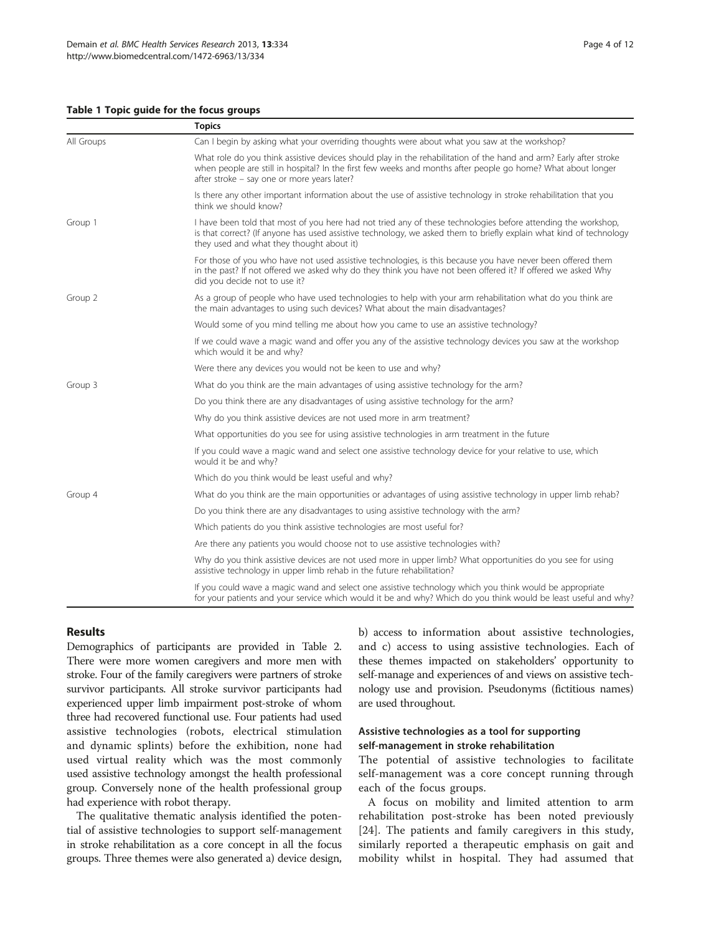#### <span id="page-3-0"></span>Table 1 Topic guide for the focus groups

|            | <b>Topics</b>                                                                                                                                                                                                                                                                     |  |  |
|------------|-----------------------------------------------------------------------------------------------------------------------------------------------------------------------------------------------------------------------------------------------------------------------------------|--|--|
| All Groups | Can I begin by asking what your overriding thoughts were about what you saw at the workshop?                                                                                                                                                                                      |  |  |
|            | What role do you think assistive devices should play in the rehabilitation of the hand and arm? Early after stroke<br>when people are still in hospital? In the first few weeks and months after people go home? What about longer<br>after stroke - say one or more years later? |  |  |
|            | Is there any other important information about the use of assistive technology in stroke rehabilitation that you<br>think we should know?                                                                                                                                         |  |  |
| Group 1    | I have been told that most of you here had not tried any of these technologies before attending the workshop,<br>is that correct? (If anyone has used assistive technology, we asked them to briefly explain what kind of technology<br>they used and what they thought about it) |  |  |
|            | For those of you who have not used assistive technologies, is this because you have never been offered them<br>in the past? If not offered we asked why do they think you have not been offered it? If offered we asked Why<br>did you decide not to use it?                      |  |  |
| Group 2    | As a group of people who have used technologies to help with your arm rehabilitation what do you think are<br>the main advantages to using such devices? What about the main disadvantages?                                                                                       |  |  |
|            | Would some of you mind telling me about how you came to use an assistive technology?                                                                                                                                                                                              |  |  |
|            | If we could wave a magic wand and offer you any of the assistive technology devices you saw at the workshop<br>which would it be and why?                                                                                                                                         |  |  |
|            | Were there any devices you would not be keen to use and why?                                                                                                                                                                                                                      |  |  |
| Group 3    | What do you think are the main advantages of using assistive technology for the arm?                                                                                                                                                                                              |  |  |
|            | Do you think there are any disadvantages of using assistive technology for the arm?                                                                                                                                                                                               |  |  |
|            | Why do you think assistive devices are not used more in arm treatment?                                                                                                                                                                                                            |  |  |
|            | What opportunities do you see for using assistive technologies in arm treatment in the future                                                                                                                                                                                     |  |  |
|            | If you could wave a magic wand and select one assistive technology device for your relative to use, which<br>would it be and why?                                                                                                                                                 |  |  |
|            | Which do you think would be least useful and why?                                                                                                                                                                                                                                 |  |  |
| Group 4    | What do you think are the main opportunities or advantages of using assistive technology in upper limb rehab?                                                                                                                                                                     |  |  |
|            | Do you think there are any disadvantages to using assistive technology with the arm?                                                                                                                                                                                              |  |  |
|            | Which patients do you think assistive technologies are most useful for?                                                                                                                                                                                                           |  |  |
|            | Are there any patients you would choose not to use assistive technologies with?                                                                                                                                                                                                   |  |  |
|            | Why do you think assistive devices are not used more in upper limb? What opportunities do you see for using<br>assistive technology in upper limb rehab in the future rehabilitation?                                                                                             |  |  |
|            | If you could wave a magic wand and select one assistive technology which you think would be appropriate<br>for your patients and your service which would it be and why? Which do you think would be least useful and why?                                                        |  |  |

## Results

Demographics of participants are provided in Table [2](#page-4-0). There were more women caregivers and more men with stroke. Four of the family caregivers were partners of stroke survivor participants. All stroke survivor participants had experienced upper limb impairment post-stroke of whom three had recovered functional use. Four patients had used assistive technologies (robots, electrical stimulation and dynamic splints) before the exhibition, none had used virtual reality which was the most commonly used assistive technology amongst the health professional group. Conversely none of the health professional group had experience with robot therapy.

The qualitative thematic analysis identified the potential of assistive technologies to support self-management in stroke rehabilitation as a core concept in all the focus groups. Three themes were also generated a) device design, b) access to information about assistive technologies, and c) access to using assistive technologies. Each of these themes impacted on stakeholders' opportunity to self-manage and experiences of and views on assistive technology use and provision. Pseudonyms (fictitious names) are used throughout.

## Assistive technologies as a tool for supporting self-management in stroke rehabilitation

The potential of assistive technologies to facilitate self-management was a core concept running through each of the focus groups.

A focus on mobility and limited attention to arm rehabilitation post-stroke has been noted previously [[24\]](#page-11-0). The patients and family caregivers in this study, similarly reported a therapeutic emphasis on gait and mobility whilst in hospital. They had assumed that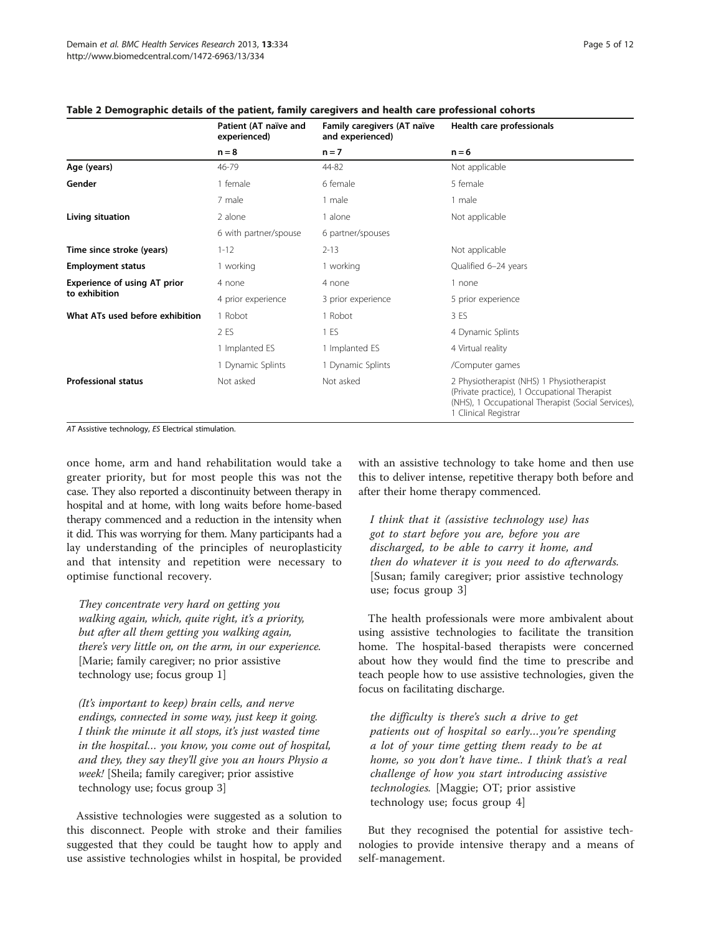|                                 | Patient (AT naïve and<br>experienced)<br>$n = 8$ | Family caregivers (AT naïve<br>and experienced)<br>$n = 7$ | Health care professionals<br>$n = 6$                                                                                                                                    |
|---------------------------------|--------------------------------------------------|------------------------------------------------------------|-------------------------------------------------------------------------------------------------------------------------------------------------------------------------|
|                                 |                                                  |                                                            |                                                                                                                                                                         |
| Age (years)                     | 46-79                                            | 44-82                                                      | Not applicable                                                                                                                                                          |
| Gender                          | 1 female                                         | 6 female                                                   | 5 female                                                                                                                                                                |
|                                 | 7 male                                           | 1 male                                                     | 1 male                                                                                                                                                                  |
| Living situation                | 2 alone                                          | 1 alone                                                    | Not applicable                                                                                                                                                          |
|                                 | 6 with partner/spouse                            | 6 partner/spouses                                          |                                                                                                                                                                         |
| Time since stroke (years)       | $1 - 12$                                         | $2 - 13$                                                   | Not applicable                                                                                                                                                          |
| <b>Employment status</b>        | 1 working                                        | 1 working                                                  | Qualified 6-24 years                                                                                                                                                    |
| Experience of using AT prior    | 4 none                                           | 4 none                                                     | 1 none                                                                                                                                                                  |
| to exhibition                   | 4 prior experience                               | 3 prior experience                                         | 5 prior experience                                                                                                                                                      |
| What ATs used before exhibition | 1 Robot                                          | 1 Robot                                                    | 3 ES                                                                                                                                                                    |
|                                 | 2 ES                                             | 1 ES                                                       | 4 Dynamic Splints                                                                                                                                                       |
|                                 | 1 Implanted ES                                   | 1 Implanted ES                                             | 4 Virtual reality                                                                                                                                                       |
|                                 | 1 Dynamic Splints                                | 1 Dynamic Splints                                          | /Computer games                                                                                                                                                         |
| <b>Professional status</b>      | Not asked                                        | Not asked                                                  | 2 Physiotherapist (NHS) 1 Physiotherapist<br>(Private practice), 1 Occupational Therapist<br>(NHS), 1 Occupational Therapist (Social Services),<br>1 Clinical Registrar |

## <span id="page-4-0"></span>mographic details of the patient, family caregivers and health care professional cohorts

AT Assistive technology, ES Electrical stimulation.

once home, arm and hand rehabilitation would take a greater priority, but for most people this was not the case. They also reported a discontinuity between therapy in hospital and at home, with long waits before home-based therapy commenced and a reduction in the intensity when it did. This was worrying for them. Many participants had a lay understanding of the principles of neuroplasticity and that intensity and repetition were necessary to optimise functional recovery.

They concentrate very hard on getting you walking again, which, quite right, it's a priority, but after all them getting you walking again, there's very little on, on the arm, in our experience. [Marie; family caregiver; no prior assistive technology use; focus group 1]

(It's important to keep) brain cells, and nerve endings, connected in some way, just keep it going. I think the minute it all stops, it's just wasted time in the hospital… you know, you come out of hospital, and they, they say they'll give you an hours Physio a week! [Sheila; family caregiver; prior assistive technology use; focus group 3]

Assistive technologies were suggested as a solution to this disconnect. People with stroke and their families suggested that they could be taught how to apply and use assistive technologies whilst in hospital, be provided with an assistive technology to take home and then use this to deliver intense, repetitive therapy both before and after their home therapy commenced.

I think that it (assistive technology use) has got to start before you are, before you are discharged, to be able to carry it home, and then do whatever it is you need to do afterwards. [Susan; family caregiver; prior assistive technology use; focus group 3]

The health professionals were more ambivalent about using assistive technologies to facilitate the transition home. The hospital-based therapists were concerned about how they would find the time to prescribe and teach people how to use assistive technologies, given the focus on facilitating discharge.

the difficulty is there's such a drive to get patients out of hospital so early…you're spending a lot of your time getting them ready to be at home, so you don't have time.. I think that's a real challenge of how you start introducing assistive technologies. [Maggie; OT; prior assistive technology use; focus group 4]

But they recognised the potential for assistive technologies to provide intensive therapy and a means of self-management.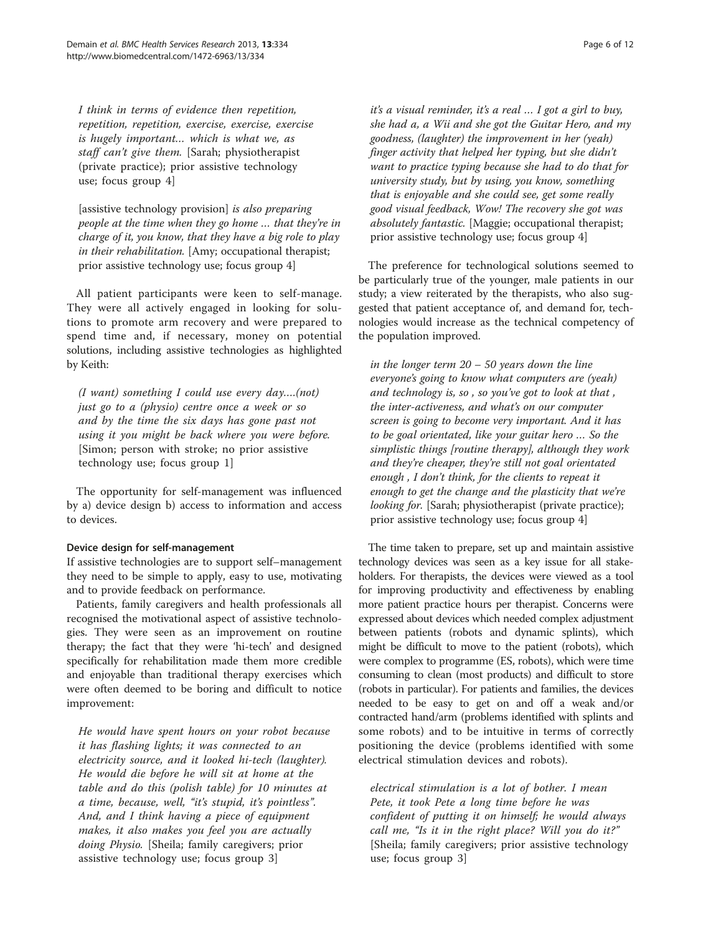I think in terms of evidence then repetition, repetition, repetition, exercise, exercise, exercise is hugely important… which is what we, as staff can't give them. [Sarah; physiotherapist (private practice); prior assistive technology use; focus group 4]

[assistive technology provision] is also preparing people at the time when they go home … that they're in charge of it, you know, that they have a big role to play in their rehabilitation. [Amy; occupational therapist; prior assistive technology use; focus group 4]

All patient participants were keen to self-manage. They were all actively engaged in looking for solutions to promote arm recovery and were prepared to spend time and, if necessary, money on potential solutions, including assistive technologies as highlighted by Keith:

(I want) something I could use every day….(not) just go to a (physio) centre once a week or so and by the time the six days has gone past not using it you might be back where you were before. [Simon; person with stroke; no prior assistive technology use; focus group 1]

The opportunity for self-management was influenced by a) device design b) access to information and access to devices.

## Device design for self-management

If assistive technologies are to support self–management they need to be simple to apply, easy to use, motivating and to provide feedback on performance.

Patients, family caregivers and health professionals all recognised the motivational aspect of assistive technologies. They were seen as an improvement on routine therapy; the fact that they were 'hi-tech' and designed specifically for rehabilitation made them more credible and enjoyable than traditional therapy exercises which were often deemed to be boring and difficult to notice improvement:

He would have spent hours on your robot because it has flashing lights; it was connected to an electricity source, and it looked hi-tech (laughter). He would die before he will sit at home at the table and do this (polish table) for 10 minutes at a time, because, well, "it's stupid, it's pointless". And, and I think having a piece of equipment makes, it also makes you feel you are actually doing Physio. [Sheila; family caregivers; prior assistive technology use; focus group 3]

it's a visual reminder, it's a real … I got a girl to buy, she had a, a Wii and she got the Guitar Hero, and my goodness, (laughter) the improvement in her (yeah) finger activity that helped her typing, but she didn't want to practice typing because she had to do that for university study, but by using, you know, something that is enjoyable and she could see, get some really good visual feedback, Wow! The recovery she got was absolutely fantastic. [Maggie; occupational therapist; prior assistive technology use; focus group 4]

The preference for technological solutions seemed to be particularly true of the younger, male patients in our study; a view reiterated by the therapists, who also suggested that patient acceptance of, and demand for, technologies would increase as the technical competency of the population improved.

in the longer term  $20 - 50$  years down the line everyone's going to know what computers are (yeah) and technology is, so , so you've got to look at that , the inter-activeness, and what's on our computer screen is going to become very important. And it has to be goal orientated, like your guitar hero … So the simplistic things [routine therapy], although they work and they're cheaper, they're still not goal orientated enough , I don't think, for the clients to repeat it enough to get the change and the plasticity that we're looking for. [Sarah; physiotherapist (private practice); prior assistive technology use; focus group 4]

The time taken to prepare, set up and maintain assistive technology devices was seen as a key issue for all stakeholders. For therapists, the devices were viewed as a tool for improving productivity and effectiveness by enabling more patient practice hours per therapist. Concerns were expressed about devices which needed complex adjustment between patients (robots and dynamic splints), which might be difficult to move to the patient (robots), which were complex to programme (ES, robots), which were time consuming to clean (most products) and difficult to store (robots in particular). For patients and families, the devices needed to be easy to get on and off a weak and/or contracted hand/arm (problems identified with splints and some robots) and to be intuitive in terms of correctly positioning the device (problems identified with some electrical stimulation devices and robots).

electrical stimulation is a lot of bother. I mean Pete, it took Pete a long time before he was confident of putting it on himself; he would always call me, "Is it in the right place? Will you do it?" [Sheila; family caregivers; prior assistive technology use; focus group 3]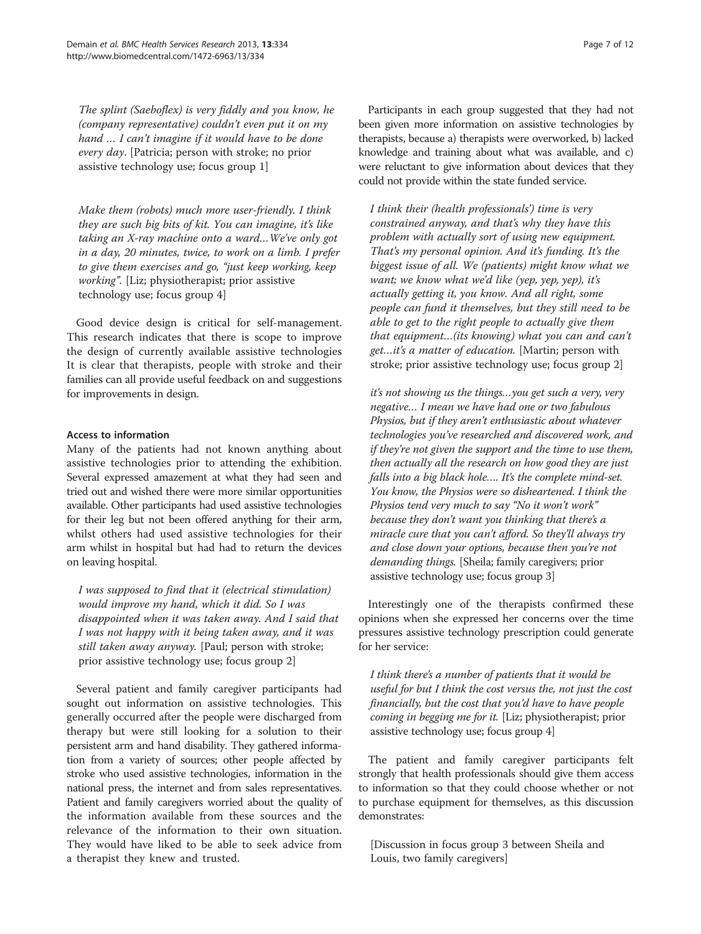The splint (Saeboflex) is very fiddly and you know, he (company representative) couldn't even put it on my hand … I can't imagine if it would have to be done every day. [Patricia; person with stroke; no prior assistive technology use; focus group 1]

Make them (robots) much more user-friendly. I think they are such big bits of kit. You can imagine, it's like taking an X-ray machine onto a ward…We've only got in a day, 20 minutes, twice, to work on a limb. I prefer to give them exercises and go, "just keep working, keep working". [Liz; physiotherapist; prior assistive technology use; focus group 4]

Good device design is critical for self-management. This research indicates that there is scope to improve the design of currently available assistive technologies It is clear that therapists, people with stroke and their families can all provide useful feedback on and suggestions for improvements in design.

#### Access to information

Many of the patients had not known anything about assistive technologies prior to attending the exhibition. Several expressed amazement at what they had seen and tried out and wished there were more similar opportunities available. Other participants had used assistive technologies for their leg but not been offered anything for their arm, whilst others had used assistive technologies for their arm whilst in hospital but had had to return the devices on leaving hospital.

I was supposed to find that it (electrical stimulation) would improve my hand, which it did. So I was disappointed when it was taken away. And I said that I was not happy with it being taken away, and it was still taken away anyway. [Paul; person with stroke; prior assistive technology use; focus group 2]

Several patient and family caregiver participants had sought out information on assistive technologies. This generally occurred after the people were discharged from therapy but were still looking for a solution to their persistent arm and hand disability. They gathered information from a variety of sources; other people affected by stroke who used assistive technologies, information in the national press, the internet and from sales representatives. Patient and family caregivers worried about the quality of the information available from these sources and the relevance of the information to their own situation. They would have liked to be able to seek advice from a therapist they knew and trusted.

Participants in each group suggested that they had not been given more information on assistive technologies by therapists, because a) therapists were overworked, b) lacked knowledge and training about what was available, and c) were reluctant to give information about devices that they could not provide within the state funded service.

I think their (health professionals') time is very constrained anyway, and that's why they have this problem with actually sort of using new equipment. That's my personal opinion. And it's funding. It's the biggest issue of all. We (patients) might know what we want; we know what we'd like (yep, yep, yep), it's actually getting it, you know. And all right, some people can fund it themselves, but they still need to be able to get to the right people to actually give them that equipment…(its knowing) what you can and can't get…it's a matter of education. [Martin; person with stroke; prior assistive technology use; focus group 2]

it's not showing us the things…you get such a very, very negative… I mean we have had one or two fabulous Physios, but if they aren't enthusiastic about whatever technologies you've researched and discovered work, and if they're not given the support and the time to use them, then actually all the research on how good they are just falls into a big black hole.... It's the complete mind-set. You know, the Physios were so disheartened. I think the Physios tend very much to say "No it won't work" because they don't want you thinking that there's a miracle cure that you can't afford. So they'll always try and close down your options, because then you're not demanding things. [Sheila; family caregivers; prior assistive technology use; focus group 3]

Interestingly one of the therapists confirmed these opinions when she expressed her concerns over the time pressures assistive technology prescription could generate for her service:

I think there's a number of patients that it would be useful for but I think the cost versus the, not just the cost financially, but the cost that you'd have to have people coming in begging me for it. [Liz; physiotherapist; prior assistive technology use; focus group 4]

The patient and family caregiver participants felt strongly that health professionals should give them access to information so that they could choose whether or not to purchase equipment for themselves, as this discussion demonstrates:

[Discussion in focus group 3 between Sheila and Louis, two family caregivers]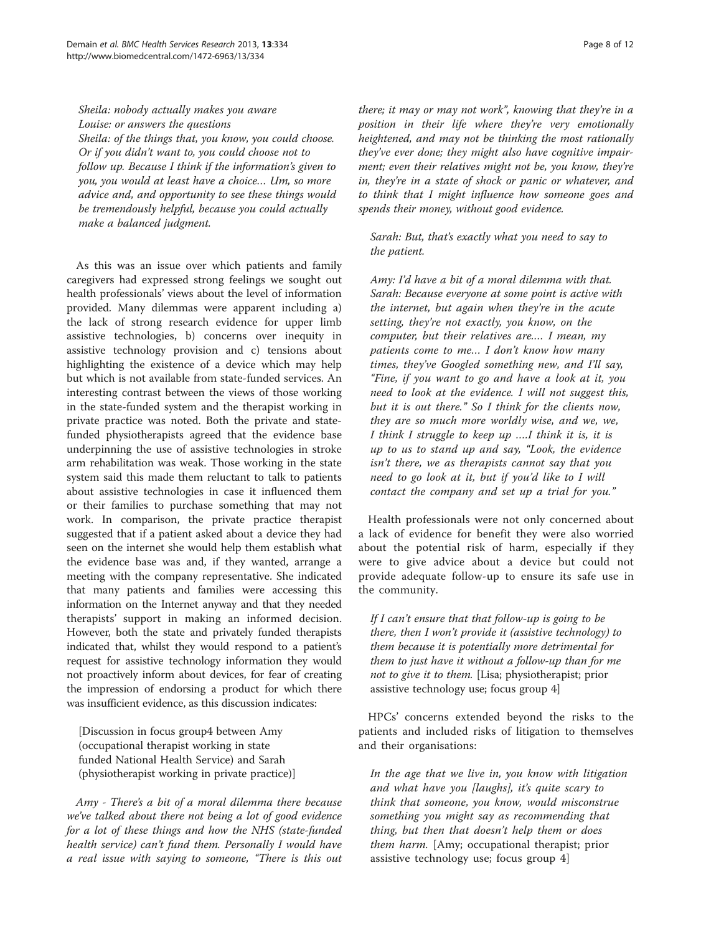Sheila: nobody actually makes you aware Louise: or answers the questions Sheila: of the things that, you know, you could choose. Or if you didn't want to, you could choose not to follow up. Because I think if the information's given to you, you would at least have a choice… Um, so more advice and, and opportunity to see these things would be tremendously helpful, because you could actually make a balanced judgment.

As this was an issue over which patients and family caregivers had expressed strong feelings we sought out health professionals' views about the level of information provided. Many dilemmas were apparent including a) the lack of strong research evidence for upper limb assistive technologies, b) concerns over inequity in assistive technology provision and c) tensions about highlighting the existence of a device which may help but which is not available from state-funded services. An interesting contrast between the views of those working in the state-funded system and the therapist working in private practice was noted. Both the private and statefunded physiotherapists agreed that the evidence base underpinning the use of assistive technologies in stroke arm rehabilitation was weak. Those working in the state system said this made them reluctant to talk to patients about assistive technologies in case it influenced them or their families to purchase something that may not work. In comparison, the private practice therapist suggested that if a patient asked about a device they had seen on the internet she would help them establish what the evidence base was and, if they wanted, arrange a meeting with the company representative. She indicated that many patients and families were accessing this information on the Internet anyway and that they needed therapists' support in making an informed decision. However, both the state and privately funded therapists indicated that, whilst they would respond to a patient's request for assistive technology information they would not proactively inform about devices, for fear of creating the impression of endorsing a product for which there was insufficient evidence, as this discussion indicates:

[Discussion in focus group4 between Amy (occupational therapist working in state funded National Health Service) and Sarah (physiotherapist working in private practice)]

Amy - There's a bit of a moral dilemma there because we've talked about there not being a lot of good evidence for a lot of these things and how the NHS (state-funded health service) can't fund them. Personally I would have a real issue with saying to someone, "There is this out there; it may or may not work", knowing that they're in a position in their life where they're very emotionally heightened, and may not be thinking the most rationally they've ever done; they might also have cognitive impairment; even their relatives might not be, you know, they're in, they're in a state of shock or panic or whatever, and to think that I might influence how someone goes and spends their money, without good evidence.

Sarah: But, that's exactly what you need to say to the patient.

Amy: I'd have a bit of a moral dilemma with that. Sarah: Because everyone at some point is active with the internet, but again when they're in the acute setting, they're not exactly, you know, on the computer, but their relatives are.… I mean, my patients come to me… I don't know how many times, they've Googled something new, and I'll say, "Fine, if you want to go and have a look at it, you need to look at the evidence. I will not suggest this, but it is out there." So I think for the clients now, they are so much more worldly wise, and we, we, I think I struggle to keep up ….I think it is, it is up to us to stand up and say, "Look, the evidence isn't there, we as therapists cannot say that you need to go look at it, but if you'd like to I will contact the company and set up a trial for you."

Health professionals were not only concerned about a lack of evidence for benefit they were also worried about the potential risk of harm, especially if they were to give advice about a device but could not provide adequate follow-up to ensure its safe use in the community.

If I can't ensure that that follow-up is going to be there, then I won't provide it (assistive technology) to them because it is potentially more detrimental for them to just have it without a follow-up than for me not to give it to them. [Lisa; physiotherapist; prior assistive technology use; focus group 4]

HPCs' concerns extended beyond the risks to the patients and included risks of litigation to themselves and their organisations:

In the age that we live in, you know with litigation and what have you [laughs], it's quite scary to think that someone, you know, would misconstrue something you might say as recommending that thing, but then that doesn't help them or does them harm. [Amy; occupational therapist; prior assistive technology use; focus group 4]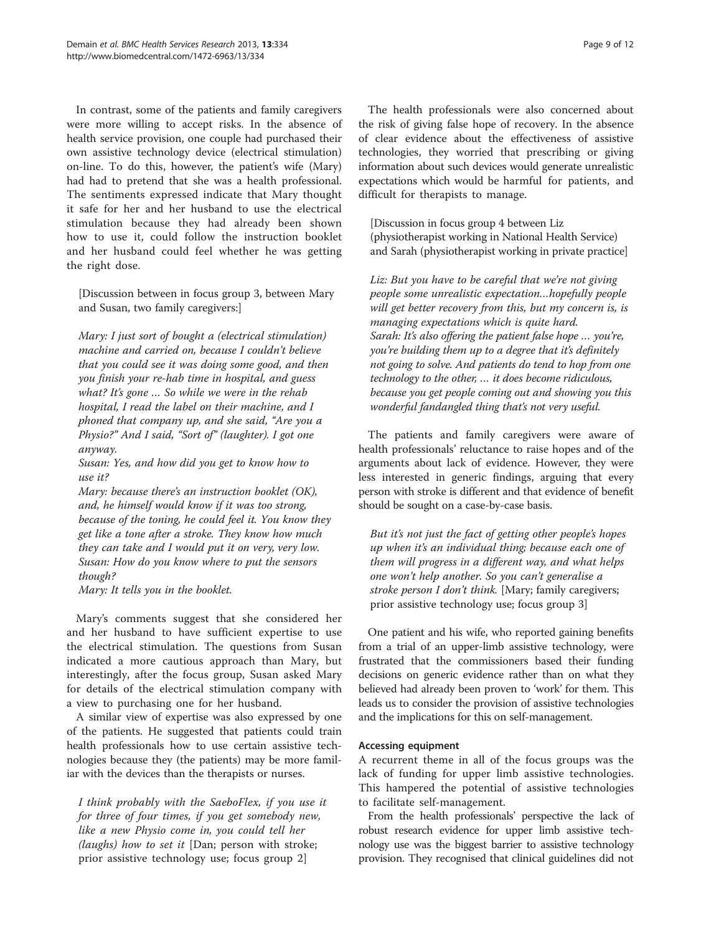In contrast, some of the patients and family caregivers were more willing to accept risks. In the absence of health service provision, one couple had purchased their own assistive technology device (electrical stimulation) on-line. To do this, however, the patient's wife (Mary) had had to pretend that she was a health professional. The sentiments expressed indicate that Mary thought it safe for her and her husband to use the electrical stimulation because they had already been shown how to use it, could follow the instruction booklet and her husband could feel whether he was getting the right dose.

[Discussion between in focus group 3, between Mary and Susan, two family caregivers:]

Mary: I just sort of bought a (electrical stimulation) machine and carried on, because I couldn't believe that you could see it was doing some good, and then you finish your re-hab time in hospital, and guess what? It's gone ... So while we were in the rehab hospital, I read the label on their machine, and I phoned that company up, and she said, "Are you a Physio?" And I said, "Sort of" (laughter). I got one anyway.

Susan: Yes, and how did you get to know how to use it?

Mary: because there's an instruction booklet (OK), and, he himself would know if it was too strong, because of the toning, he could feel it. You know they get like a tone after a stroke. They know how much they can take and I would put it on very, very low. Susan: How do you know where to put the sensors though?

Mary: It tells you in the booklet.

Mary's comments suggest that she considered her and her husband to have sufficient expertise to use the electrical stimulation. The questions from Susan indicated a more cautious approach than Mary, but interestingly, after the focus group, Susan asked Mary for details of the electrical stimulation company with a view to purchasing one for her husband.

A similar view of expertise was also expressed by one of the patients. He suggested that patients could train health professionals how to use certain assistive technologies because they (the patients) may be more familiar with the devices than the therapists or nurses.

I think probably with the SaeboFlex, if you use it for three of four times, if you get somebody new, like a new Physio come in, you could tell her (*laughs*) how to set it [Dan; person with stroke; prior assistive technology use; focus group 2]

The health professionals were also concerned about the risk of giving false hope of recovery. In the absence of clear evidence about the effectiveness of assistive technologies, they worried that prescribing or giving information about such devices would generate unrealistic expectations which would be harmful for patients, and difficult for therapists to manage.

[Discussion in focus group 4 between Liz (physiotherapist working in National Health Service) and Sarah (physiotherapist working in private practice]

Liz: But you have to be careful that we're not giving people some unrealistic expectation…hopefully people will get better recovery from this, but my concern is, is managing expectations which is quite hard. Sarah: It's also offering the patient false hope ... you're, you're building them up to a degree that it's definitely not going to solve. And patients do tend to hop from one technology to the other, … it does become ridiculous, because you get people coming out and showing you this wonderful fandangled thing that's not very useful.

The patients and family caregivers were aware of health professionals' reluctance to raise hopes and of the arguments about lack of evidence. However, they were less interested in generic findings, arguing that every person with stroke is different and that evidence of benefit should be sought on a case-by-case basis.

But it's not just the fact of getting other people's hopes up when it's an individual thing; because each one of them will progress in a different way, and what helps one won't help another. So you can't generalise a stroke person I don't think. [Mary; family caregivers; prior assistive technology use; focus group 3]

One patient and his wife, who reported gaining benefits from a trial of an upper-limb assistive technology, were frustrated that the commissioners based their funding decisions on generic evidence rather than on what they believed had already been proven to 'work' for them. This leads us to consider the provision of assistive technologies and the implications for this on self-management.

## Accessing equipment

A recurrent theme in all of the focus groups was the lack of funding for upper limb assistive technologies. This hampered the potential of assistive technologies to facilitate self-management.

From the health professionals' perspective the lack of robust research evidence for upper limb assistive technology use was the biggest barrier to assistive technology provision. They recognised that clinical guidelines did not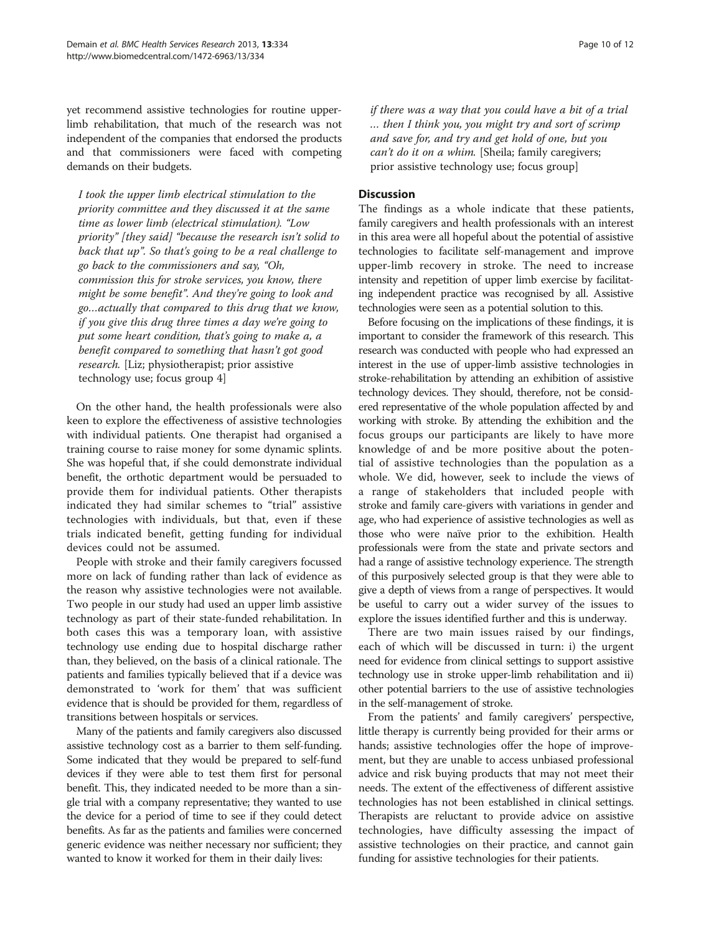yet recommend assistive technologies for routine upperlimb rehabilitation, that much of the research was not independent of the companies that endorsed the products and that commissioners were faced with competing demands on their budgets.

I took the upper limb electrical stimulation to the priority committee and they discussed it at the same time as lower limb (electrical stimulation). "Low priority" [they said] "because the research isn't solid to back that up". So that's going to be a real challenge to go back to the commissioners and say, "Oh, commission this for stroke services, you know, there might be some benefit". And they're going to look and go…actually that compared to this drug that we know, if you give this drug three times a day we're going to put some heart condition, that's going to make a, a benefit compared to something that hasn't got good research. [Liz; physiotherapist; prior assistive technology use; focus group 4]

On the other hand, the health professionals were also keen to explore the effectiveness of assistive technologies with individual patients. One therapist had organised a training course to raise money for some dynamic splints. She was hopeful that, if she could demonstrate individual benefit, the orthotic department would be persuaded to provide them for individual patients. Other therapists indicated they had similar schemes to "trial" assistive technologies with individuals, but that, even if these trials indicated benefit, getting funding for individual devices could not be assumed.

People with stroke and their family caregivers focussed more on lack of funding rather than lack of evidence as the reason why assistive technologies were not available. Two people in our study had used an upper limb assistive technology as part of their state-funded rehabilitation. In both cases this was a temporary loan, with assistive technology use ending due to hospital discharge rather than, they believed, on the basis of a clinical rationale. The patients and families typically believed that if a device was demonstrated to 'work for them' that was sufficient evidence that is should be provided for them, regardless of transitions between hospitals or services.

Many of the patients and family caregivers also discussed assistive technology cost as a barrier to them self-funding. Some indicated that they would be prepared to self-fund devices if they were able to test them first for personal benefit. This, they indicated needed to be more than a single trial with a company representative; they wanted to use the device for a period of time to see if they could detect benefits. As far as the patients and families were concerned generic evidence was neither necessary nor sufficient; they wanted to know it worked for them in their daily lives:

if there was a way that you could have a bit of a trial … then I think you, you might try and sort of scrimp and save for, and try and get hold of one, but you can't do it on a whim. [Sheila; family caregivers; prior assistive technology use; focus group]

## **Discussion**

The findings as a whole indicate that these patients, family caregivers and health professionals with an interest in this area were all hopeful about the potential of assistive technologies to facilitate self-management and improve upper-limb recovery in stroke. The need to increase intensity and repetition of upper limb exercise by facilitating independent practice was recognised by all. Assistive technologies were seen as a potential solution to this.

Before focusing on the implications of these findings, it is important to consider the framework of this research. This research was conducted with people who had expressed an interest in the use of upper-limb assistive technologies in stroke-rehabilitation by attending an exhibition of assistive technology devices. They should, therefore, not be considered representative of the whole population affected by and working with stroke. By attending the exhibition and the focus groups our participants are likely to have more knowledge of and be more positive about the potential of assistive technologies than the population as a whole. We did, however, seek to include the views of a range of stakeholders that included people with stroke and family care-givers with variations in gender and age, who had experience of assistive technologies as well as those who were naïve prior to the exhibition. Health professionals were from the state and private sectors and had a range of assistive technology experience. The strength of this purposively selected group is that they were able to give a depth of views from a range of perspectives. It would be useful to carry out a wider survey of the issues to explore the issues identified further and this is underway.

There are two main issues raised by our findings, each of which will be discussed in turn: i) the urgent need for evidence from clinical settings to support assistive technology use in stroke upper-limb rehabilitation and ii) other potential barriers to the use of assistive technologies in the self-management of stroke.

From the patients' and family caregivers' perspective, little therapy is currently being provided for their arms or hands; assistive technologies offer the hope of improvement, but they are unable to access unbiased professional advice and risk buying products that may not meet their needs. The extent of the effectiveness of different assistive technologies has not been established in clinical settings. Therapists are reluctant to provide advice on assistive technologies, have difficulty assessing the impact of assistive technologies on their practice, and cannot gain funding for assistive technologies for their patients.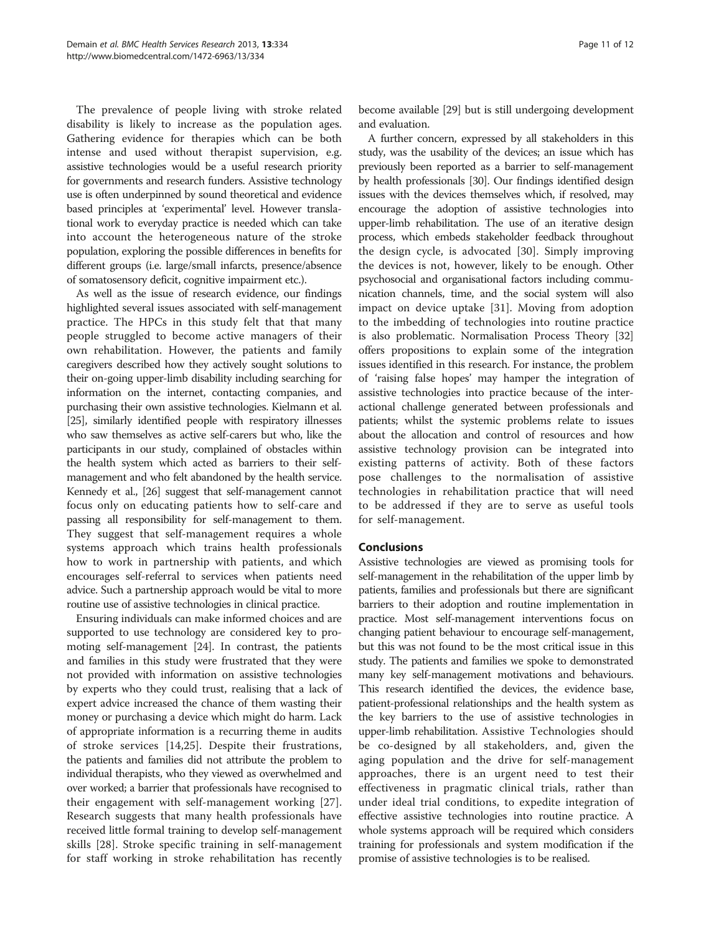The prevalence of people living with stroke related disability is likely to increase as the population ages. Gathering evidence for therapies which can be both intense and used without therapist supervision, e.g. assistive technologies would be a useful research priority for governments and research funders. Assistive technology use is often underpinned by sound theoretical and evidence based principles at 'experimental' level. However translational work to everyday practice is needed which can take into account the heterogeneous nature of the stroke population, exploring the possible differences in benefits for different groups (i.e. large/small infarcts, presence/absence of somatosensory deficit, cognitive impairment etc.).

As well as the issue of research evidence, our findings highlighted several issues associated with self-management practice. The HPCs in this study felt that that many people struggled to become active managers of their own rehabilitation. However, the patients and family caregivers described how they actively sought solutions to their on-going upper-limb disability including searching for information on the internet, contacting companies, and purchasing their own assistive technologies. Kielmann et al. [[25](#page-11-0)], similarly identified people with respiratory illnesses who saw themselves as active self-carers but who, like the participants in our study, complained of obstacles within the health system which acted as barriers to their selfmanagement and who felt abandoned by the health service. Kennedy et al., [\[26](#page-11-0)] suggest that self-management cannot focus only on educating patients how to self-care and passing all responsibility for self-management to them. They suggest that self-management requires a whole systems approach which trains health professionals how to work in partnership with patients, and which encourages self-referral to services when patients need advice. Such a partnership approach would be vital to more routine use of assistive technologies in clinical practice.

Ensuring individuals can make informed choices and are supported to use technology are considered key to promoting self-management [\[24\]](#page-11-0). In contrast, the patients and families in this study were frustrated that they were not provided with information on assistive technologies by experts who they could trust, realising that a lack of expert advice increased the chance of them wasting their money or purchasing a device which might do harm. Lack of appropriate information is a recurring theme in audits of stroke services [[14,25](#page-11-0)]. Despite their frustrations, the patients and families did not attribute the problem to individual therapists, who they viewed as overwhelmed and over worked; a barrier that professionals have recognised to their engagement with self-management working [\[27](#page-11-0)]. Research suggests that many health professionals have received little formal training to develop self-management skills [[28\]](#page-11-0). Stroke specific training in self-management for staff working in stroke rehabilitation has recently become available [\[29\]](#page-11-0) but is still undergoing development and evaluation.

A further concern, expressed by all stakeholders in this study, was the usability of the devices; an issue which has previously been reported as a barrier to self-management by health professionals [[30](#page-11-0)]. Our findings identified design issues with the devices themselves which, if resolved, may encourage the adoption of assistive technologies into upper-limb rehabilitation. The use of an iterative design process, which embeds stakeholder feedback throughout the design cycle, is advocated [\[30](#page-11-0)]. Simply improving the devices is not, however, likely to be enough. Other psychosocial and organisational factors including communication channels, time, and the social system will also impact on device uptake [[31\]](#page-11-0). Moving from adoption to the imbedding of technologies into routine practice is also problematic. Normalisation Process Theory [[32](#page-11-0)] offers propositions to explain some of the integration issues identified in this research. For instance, the problem of 'raising false hopes' may hamper the integration of assistive technologies into practice because of the interactional challenge generated between professionals and patients; whilst the systemic problems relate to issues about the allocation and control of resources and how assistive technology provision can be integrated into existing patterns of activity. Both of these factors pose challenges to the normalisation of assistive technologies in rehabilitation practice that will need to be addressed if they are to serve as useful tools for self-management.

## Conclusions

Assistive technologies are viewed as promising tools for self-management in the rehabilitation of the upper limb by patients, families and professionals but there are significant barriers to their adoption and routine implementation in practice. Most self-management interventions focus on changing patient behaviour to encourage self-management, but this was not found to be the most critical issue in this study. The patients and families we spoke to demonstrated many key self-management motivations and behaviours. This research identified the devices, the evidence base, patient-professional relationships and the health system as the key barriers to the use of assistive technologies in upper-limb rehabilitation. Assistive Technologies should be co-designed by all stakeholders, and, given the aging population and the drive for self-management approaches, there is an urgent need to test their effectiveness in pragmatic clinical trials, rather than under ideal trial conditions, to expedite integration of effective assistive technologies into routine practice. A whole systems approach will be required which considers training for professionals and system modification if the promise of assistive technologies is to be realised.